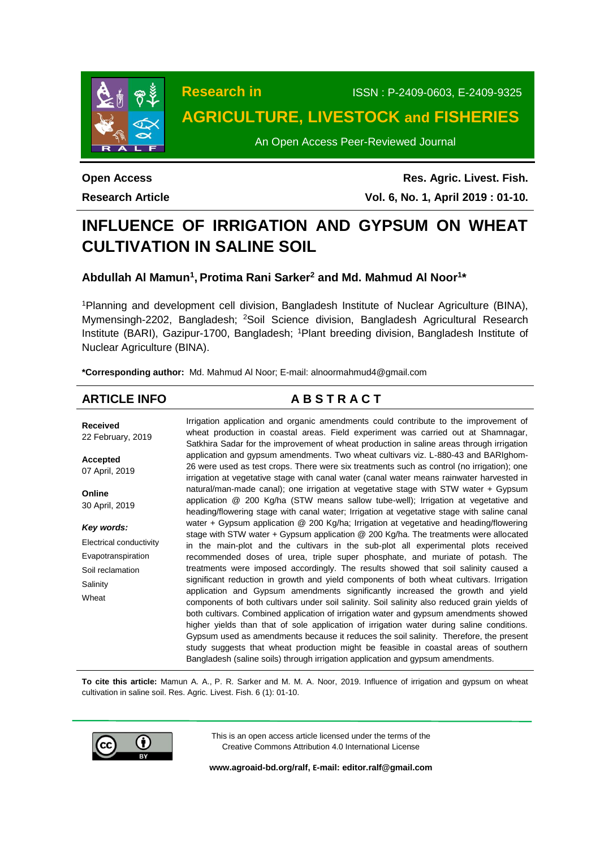

**Research in** ISSN : P-2409-0603, E-2409-9325

# **AGRICULTURE, LIVESTOCK and FISHERIES**

An Open Access Peer-Reviewed Journal

**Open Access Research Article**

**Res. Agric. Livest. Fish. Vol. 6, No. 1, April 2019 : 01-10.**

# **INFLUENCE OF IRRIGATION AND GYPSUM ON WHEAT CULTIVATION IN SALINE SOIL**

**Abdullah Al Mamun<sup>1</sup> , Protima Rani Sarker<sup>2</sup> and Md. Mahmud Al Noor<sup>1</sup> \***

<sup>1</sup>Planning and development cell division, Bangladesh Institute of Nuclear Agriculture (BINA), Mymensingh-2202, Bangladesh; <sup>2</sup>Soil Science division, Bangladesh Agricultural Research Institute (BARI), Gazipur-1700, Bangladesh; <sup>1</sup>Plant breeding division, Bangladesh Institute of Nuclear Agriculture (BINA).

**\*Corresponding author:** Md. Mahmud Al Noor; E-mail: alnoormahmud4@gmail.com

# **ARTICLE INFO A B S T R A C T**

**Received** 22 February, 2019 **Accepted** 07 April, 2019 **Online** 30 April, 2019 *Key words:* Electrical conductivity Evapotranspiration Soil reclamation **Salinity** Wheat Irrigation application and organic amendments could contribute to the improvement of wheat production in coastal areas. Field experiment was carried out at Shamnagar, Satkhira Sadar for the improvement of wheat production in saline areas through irrigation application and gypsum amendments. Two wheat cultivars viz. L-880-43 and BARIghom-26 were used as test crops. There were six treatments such as control (no irrigation); one irrigation at vegetative stage with canal water (canal water means rainwater harvested in natural/man-made canal); one irrigation at vegetative stage with STW water + Gypsum application @ 200 Kg/ha (STW means sallow tube-well); Irrigation at vegetative and heading/flowering stage with canal water; Irrigation at vegetative stage with saline canal water + Gypsum application @ 200 Kg/ha; Irrigation at vegetative and heading/flowering stage with STW water + Gypsum application @ 200 Kg/ha. The treatments were allocated in the main-plot and the cultivars in the sub-plot all experimental plots received recommended doses of urea, triple super phosphate, and muriate of potash. The treatments were imposed accordingly. The results showed that soil salinity caused a significant reduction in growth and yield components of both wheat cultivars. Irrigation application and Gypsum amendments significantly increased the growth and yield components of both cultivars under soil salinity. Soil salinity also reduced grain yields of both cultivars. Combined application of irrigation water and gypsum amendments showed higher yields than that of sole application of irrigation water during saline conditions. Gypsum used as amendments because it reduces the soil salinity. Therefore, the present study suggests that wheat production might be feasible in coastal areas of southern Bangladesh (saline soils) through irrigation application and gypsum amendments.

**To cite this article:** Mamun A. A., P. R. Sarker and M. M. A. Noor, 2019. Influence of irrigation and gypsum on wheat cultivation in saline soil. Res. Agric. Livest. Fish. 6 (1): 01-10.



This is an open access article licensed under the terms of the Creative Commons Attribution 4.0 International License

**[www.agroaid-bd.org/ralf,](http://www.agroaid-bd.org/ralf) E-mail[: editor.ralf@gmail.com](mailto:editor.ralf@gmail.com)**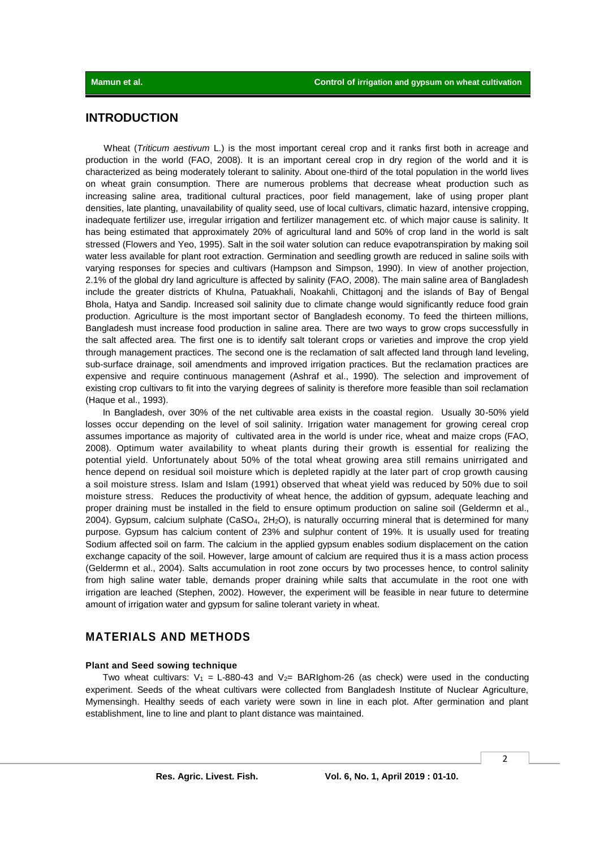# **INTRODUCTION**

Wheat (*Triticum aestivum* L.) is the most important cereal crop and it ranks first both in acreage and production in the world (FAO, 2008). It is an important cereal crop in dry region of the world and it is characterized as being moderately tolerant to salinity. About one-third of the total population in the world lives on wheat grain consumption. There are numerous problems that decrease wheat production such as increasing saline area, traditional cultural practices, poor field management, lake of using proper plant densities, late planting, unavailability of quality seed, use of local cultivars, climatic hazard, intensive cropping, inadequate fertilizer use, irregular irrigation and fertilizer management etc. of which major cause is salinity. It has being estimated that approximately 20% of agricultural land and 50% of crop land in the world is salt stressed (Flowers and Yeo, 1995). Salt in the soil water solution can reduce evapotranspiration by making soil water less available for plant root extraction. Germination and seedling growth are reduced in saline soils with varying responses for species and cultivars (Hampson and Simpson, 1990). In view of another projection, 2.1% of the global dry land agriculture is affected by salinity (FAO, 2008). The main saline area of Bangladesh include the greater districts of Khulna, Patuakhali, Noakahli, Chittagonj and the islands of Bay of Bengal Bhola, Hatya and Sandip. Increased soil salinity due to climate change would significantly reduce food grain production. Agriculture is the most important sector of Bangladesh economy. To feed the thirteen millions, Bangladesh must increase food production in saline area. There are two ways to grow crops successfully in the salt affected area. The first one is to identify salt tolerant crops or varieties and improve the crop yield through management practices. The second one is the reclamation of salt affected land through land leveling, sub-surface drainage, soil amendments and improved irrigation practices. But the reclamation practices are expensive and require continuous management (Ashraf et al., 1990). The selection and improvement of existing crop cultivars to fit into the varying degrees of salinity is therefore more feasible than soil reclamation (Haque et al., 1993).

In Bangladesh, over 30% of the net cultivable area exists in the coastal region. Usually 30-50% yield losses occur depending on the level of soil salinity. Irrigation water management for growing cereal crop assumes importance as majority of cultivated area in the world is under rice, wheat and maize crops (FAO, 2008). Optimum water availability to wheat plants during their growth is essential for realizing the potential yield. Unfortunately about 50% of the total wheat growing area still remains unirrigated and hence depend on residual soil moisture which is depleted rapidly at the later part of crop growth causing a soil moisture stress. Islam and Islam (1991) observed that wheat yield was reduced by 50% due to soil moisture stress. Reduces the productivity of wheat hence, the addition of gypsum, adequate leaching and proper draining must be installed in the field to ensure optimum production on saline soil (Geldermn et al., 2004). Gypsum, calcium sulphate (CaSO4, 2H2O), is naturally occurring mineral that is determined for many purpose. Gypsum has calcium content of 23% and sulphur content of 19%. It is usually used for treating Sodium affected soil on farm. The calcium in the applied gypsum enables sodium displacement on the cation exchange capacity of the soil. However, large amount of calcium are required thus it is a mass action process (Geldermn et al., 2004). Salts accumulation in root zone occurs by two processes hence, to control salinity from high saline water table, demands proper draining while salts that accumulate in the root one with irrigation are leached (Stephen, 2002). However, the experiment will be feasible in near future to determine amount of irrigation water and gypsum for saline tolerant variety in wheat.

# **MATERIALS AND METHODS**

## **Plant and Seed sowing technique**

Two wheat cultivars:  $V_1$  = L-880-43 and  $V_2$ = BARIghom-26 (as check) were used in the conducting experiment. Seeds of the wheat cultivars were collected from Bangladesh Institute of Nuclear Agriculture, Mymensingh. Healthy seeds of each variety were sown in line in each plot. After germination and plant establishment, line to line and plant to plant distance was maintained.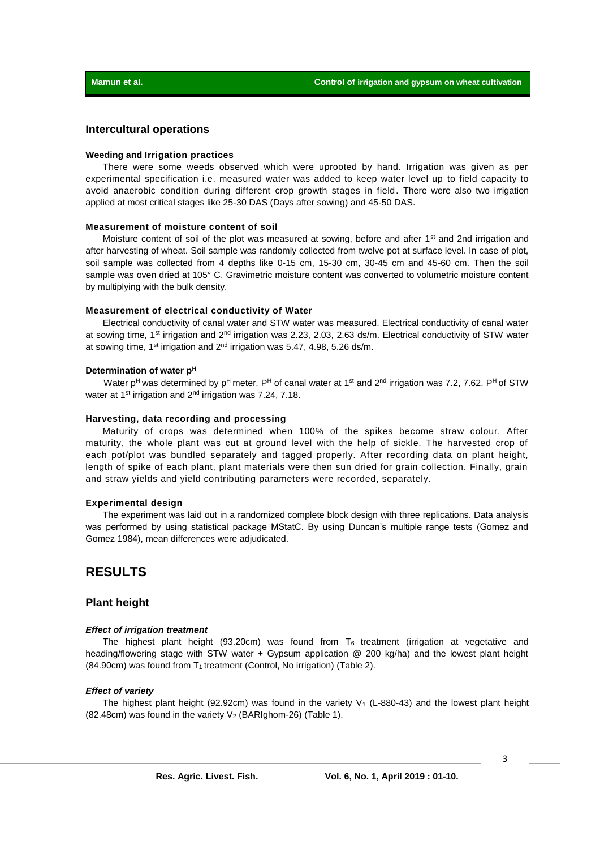#### **Intercultural operations**

#### **Weeding and Irrigation practices**

There were some weeds observed which were uprooted by hand. Irrigation was given as per experimental specification i.e. measured water was added to keep water level up to field capacity to avoid anaerobic condition during different crop growth stages in field. There were also two irrigation applied at most critical stages like 25-30 DAS (Days after sowing) and 45-50 DAS.

#### **Measurement of moisture content of soil**

Moisture content of soil of the plot was measured at sowing, before and after 1<sup>st</sup> and 2nd irrigation and after harvesting of wheat. Soil sample was randomly collected from twelve pot at surface level. In case of plot, soil sample was collected from 4 depths like 0-15 cm, 15-30 cm, 30-45 cm and 45-60 cm. Then the soil sample was oven dried at 105° C. Gravimetric moisture content was converted to volumetric moisture content by multiplying with the bulk density.

#### **Measurement of electrical conductivity of Water**

Electrical conductivity of canal water and STW water was measured. Electrical conductivity of canal water at sowing time, 1<sup>st</sup> irrigation and 2<sup>nd</sup> irrigation was 2.23, 2.03, 2.63 ds/m. Electrical conductivity of STW water at sowing time, 1<sup>st</sup> irrigation and  $2<sup>nd</sup>$  irrigation was 5.47, 4.98, 5.26 ds/m.

#### **Determination of water p<sup>H</sup>**

Water p<sup>H</sup> was determined by p<sup>H</sup> meter. P<sup>H</sup> of canal water at 1<sup>st</sup> and 2<sup>nd</sup> irrigation was 7.2, 7.62. P<sup>H</sup> of STW water at 1<sup>st</sup> irrigation and 2<sup>nd</sup> irrigation was 7.24, 7.18.

#### **Harvesting, data recording and processing**

Maturity of crops was determined when 100% of the spikes become straw colour. After maturity, the whole plant was cut at ground level with the help of sickle. The harvested crop of each pot/plot was bundled separately and tagged properly. After recording data on plant height, length of spike of each plant, plant materials were then sun dried for grain collection. Finally, grain and straw yields and yield contributing parameters were recorded, separately.

#### **Experimental design**

The experiment was laid out in a randomized complete block design with three replications. Data analysis was performed by using statistical package MStatC. By using Duncan's multiple range tests (Gomez and Gomez 1984), mean differences were adjudicated.

# **RESULTS**

### **Plant height**

#### *Effect of irrigation treatment*

The highest plant height (93.20cm) was found from  $T_6$  treatment (irrigation at vegetative and heading/flowering stage with STW water + Gypsum application @ 200 kg/ha) and the lowest plant height (84.90cm) was found from  $T_1$  treatment (Control, No irrigation) (Table 2).

#### *Effect of variety*

The highest plant height (92.92cm) was found in the variety  $V_1$  (L-880-43) and the lowest plant height  $(82.48cm)$  was found in the variety  $V_2$  (BARIghom-26) (Table 1).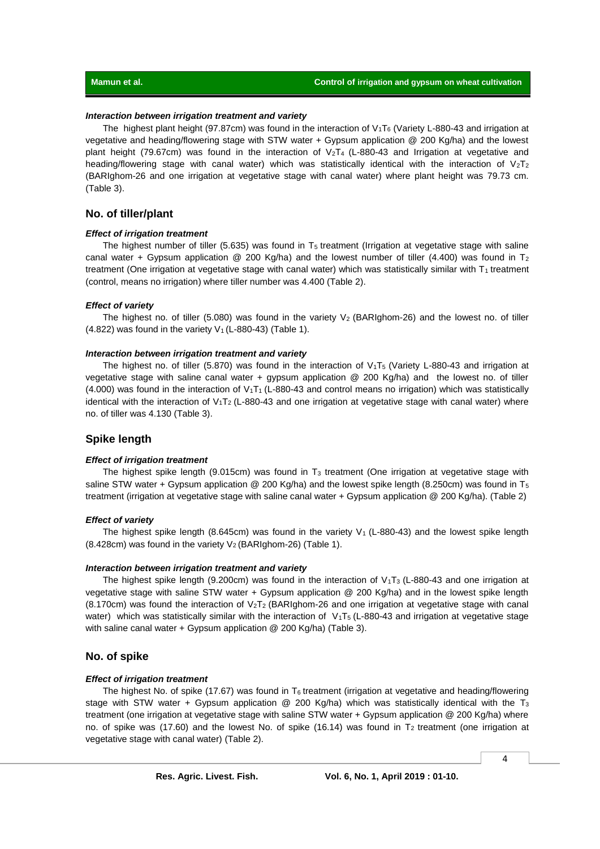#### *Interaction between irrigation treatment and variety*

The highest plant height (97.87cm) was found in the interaction of  $V_1T_6$  (Variety L-880-43 and irrigation at vegetative and heading/flowering stage with STW water + Gypsum application @ 200 Kg/ha) and the lowest plant height (79.67cm) was found in the interaction of  $V_2T_4$  (L-880-43 and Irrigation at vegetative and heading/flowering stage with canal water) which was statistically identical with the interaction of  $V_2T_2$ (BARIghom-26 and one irrigation at vegetative stage with canal water) where plant height was 79.73 cm. (Table 3).

#### **No. of tiller/plant**

#### *Effect of irrigation treatment*

The highest number of tiller (5.635) was found in  $T<sub>5</sub>$  treatment (Irrigation at vegetative stage with saline canal water + Gypsum application @ 200 Kg/ha) and the lowest number of tiller (4.400) was found in T<sub>2</sub> treatment (One irrigation at vegetative stage with canal water) which was statistically similar with  $T_1$  treatment (control, means no irrigation) where tiller number was 4.400 (Table 2).

#### *Effect of variety*

The highest no. of tiller (5.080) was found in the variety  $V_2$  (BARIghom-26) and the lowest no. of tiller (4.822) was found in the variety  $V_1$  (L-880-43) (Table 1).

#### *Interaction between irrigation treatment and variety*

The highest no. of tiller (5.870) was found in the interaction of  $V_1T_5$  (Variety L-880-43 and irrigation at vegetative stage with saline canal water + gypsum application @ 200 Kg/ha) and the lowest no. of tiller (4.000) was found in the interaction of V1T1 (L-880-43 and control means no irrigation) which was statistically identical with the interaction of  $V_1T_2$  (L-880-43 and one irrigation at vegetative stage with canal water) where no. of tiller was 4.130 (Table 3).

### **Spike length**

#### *Effect of irrigation treatment*

The highest spike length (9.015cm) was found in  $T_3$  treatment (One irrigation at vegetative stage with saline STW water + Gypsum application @ 200 Kg/ha) and the lowest spike length (8.250cm) was found in T<sub>5</sub> treatment (irrigation at vegetative stage with saline canal water + Gypsum application @ 200 Kg/ha). (Table 2)

#### *Effect of variety*

The highest spike length (8.645cm) was found in the variety  $V_1$  (L-880-43) and the lowest spike length (8.428cm) was found in the variety  $V_2$  (BARIghom-26) (Table 1).

#### *Interaction between irrigation treatment and variety*

The highest spike length (9.200cm) was found in the interaction of  $V_1T_3$  (L-880-43 and one irrigation at vegetative stage with saline STW water + Gypsum application @ 200 Kg/ha) and in the lowest spike length (8.170cm) was found the interaction of  $V<sub>2</sub>T<sub>2</sub>$  (BARIghom-26 and one irrigation at vegetative stage with canal water) which was statistically similar with the interaction of  $V_1T_5$  (L-880-43 and irrigation at vegetative stage with saline canal water + Gypsum application @ 200 Kg/ha) (Table 3).

#### **No. of spike**

#### *Effect of irrigation treatment*

The highest No. of spike (17.67) was found in  $T_6$  treatment (irrigation at vegetative and heading/flowering stage with STW water + Gypsum application  $@$  200 Kg/ha) which was statistically identical with the T<sub>3</sub> treatment (one irrigation at vegetative stage with saline STW water + Gypsum application @ 200 Kg/ha) where no. of spike was (17.60) and the lowest No. of spike (16.14) was found in  $T_2$  treatment (one irrigation at vegetative stage with canal water) (Table 2).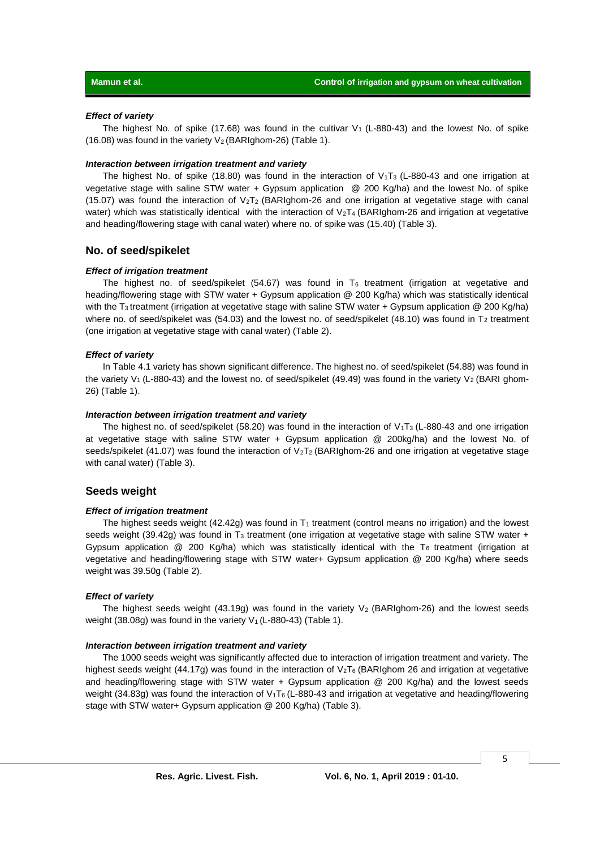#### *Effect of variety*

The highest No. of spike (17.68) was found in the cultivar  $V_1$  (L-880-43) and the lowest No. of spike (16.08) was found in the variety  $V_2$  (BARIghom-26) (Table 1).

#### *Interaction between irrigation treatment and variety*

The highest No. of spike (18.80) was found in the interaction of  $V_1$ T<sub>3</sub> (L-880-43 and one irrigation at vegetative stage with saline STW water + Gypsum application @ 200 Kg/ha) and the lowest No. of spike (15.07) was found the interaction of  $V_2T_2$  (BARIghom-26 and one irrigation at vegetative stage with canal water) which was statistically identical with the interaction of  $V<sub>2</sub>T<sub>4</sub>$  (BARIghom-26 and irrigation at vegetative and heading/flowering stage with canal water) where no. of spike was (15.40) (Table 3).

#### **No. of seed/spikelet**

#### *Effect of irrigation treatment*

The highest no. of seed/spikelet (54.67) was found in  $T_6$  treatment (irrigation at vegetative and heading/flowering stage with STW water + Gypsum application @ 200 Kg/ha) which was statistically identical with the T<sub>3</sub> treatment (irrigation at vegetative stage with saline STW water + Gypsum application @ 200 Kg/ha) where no. of seed/spikelet was (54.03) and the lowest no. of seed/spikelet (48.10) was found in  $T_2$  treatment (one irrigation at vegetative stage with canal water) (Table 2).

#### *Effect of variety*

In Table 4.1 variety has shown significant difference. The highest no. of seed/spikelet (54.88) was found in the variety V<sub>1</sub> (L-880-43) and the lowest no. of seed/spikelet (49.49) was found in the variety V<sub>2</sub> (BARI ghom-26) (Table 1).

#### *Interaction between irrigation treatment and variety*

The highest no. of seed/spikelet (58.20) was found in the interaction of  $V_1T_3$  (L-880-43 and one irrigation at vegetative stage with saline STW water + Gypsum application @ 200kg/ha) and the lowest No. of seeds/spikelet (41.07) was found the interaction of  $V_2T_2$  (BARIghom-26 and one irrigation at vegetative stage with canal water) (Table 3).

#### **Seeds weight**

#### *Effect of irrigation treatment*

The highest seeds weight (42.42g) was found in  $T_1$  treatment (control means no irrigation) and the lowest seeds weight (39.42g) was found in  $T_3$  treatment (one irrigation at vegetative stage with saline STW water + Gypsum application  $@ 200$  Kg/ha) which was statistically identical with the T<sub>6</sub> treatment (irrigation at vegetative and heading/flowering stage with STW water+ Gypsum application @ 200 Kg/ha) where seeds weight was 39.50g (Table 2).

#### *Effect of variety*

The highest seeds weight (43.19g) was found in the variety  $V_2$  (BARIghom-26) and the lowest seeds weight (38.08g) was found in the variety  $V_1$  (L-880-43) (Table 1).

#### *Interaction between irrigation treatment and variety*

The 1000 seeds weight was significantly affected due to interaction of irrigation treatment and variety. The highest seeds weight (44.17g) was found in the interaction of V<sub>2</sub>T<sub>6</sub> (BARIghom 26 and irrigation at vegetative and heading/flowering stage with STW water + Gypsum application @ 200 Kg/ha) and the lowest seeds weight (34.83g) was found the interaction of  $V_1T_6$  (L-880-43 and irrigation at vegetative and heading/flowering stage with STW water+ Gypsum application @ 200 Kg/ha) (Table 3).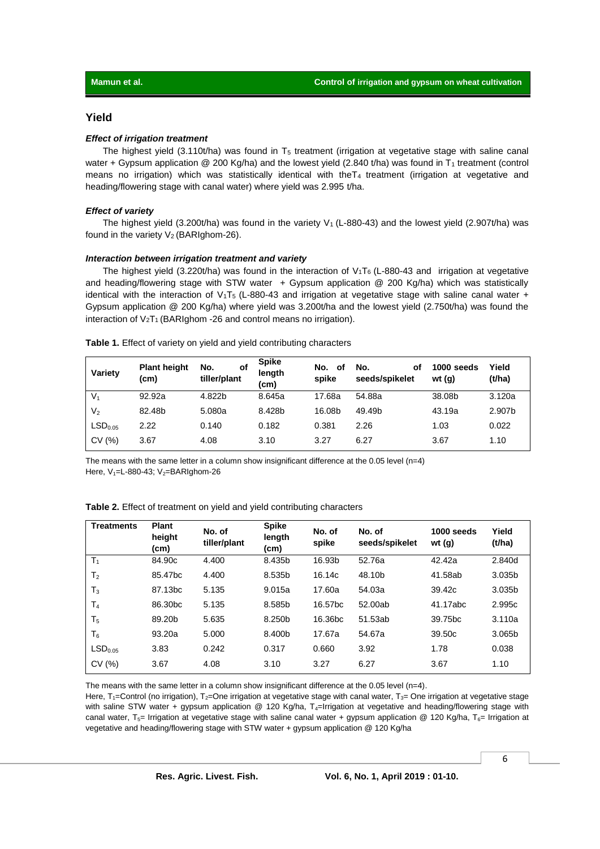#### **Yield**

#### *Effect of irrigation treatment*

The highest yield (3.110t/ha) was found in  $T<sub>5</sub>$  treatment (irrigation at vegetative stage with saline canal water + Gypsum application @ 200 Kg/ha) and the lowest yield (2.840 t/ha) was found in  $T_1$  treatment (control means no irrigation) which was statistically identical with theT<sub>4</sub> treatment (irrigation at vegetative and heading/flowering stage with canal water) where yield was 2.995 t/ha.

#### *Effect of variety*

The highest yield (3.200t/ha) was found in the variety  $V_1$  (L-880-43) and the lowest yield (2.907t/ha) was found in the variety  $V_2$  (BARIghom-26).

#### *Interaction between irrigation treatment and variety*

The highest yield (3.220t/ha) was found in the interaction of  $V_1T_6$  (L-880-43 and irrigation at vegetative and heading/flowering stage with STW water  $+$  Gypsum application @ 200 Kg/ha) which was statistically identical with the interaction of  $V_1$ T<sub>5</sub> (L-880-43 and irrigation at vegetative stage with saline canal water + Gypsum application @ 200 Kg/ha) where yield was 3.200t/ha and the lowest yield (2.750t/ha) was found the interaction of  $V_2T_1$  (BARIghom -26 and control means no irrigation).

| Variety             | <b>Plant height</b><br>(cm) | No.<br>οf<br>tiller/plant | <b>Spike</b><br>length<br>(cm) | No.<br>οf<br>spike | No.<br>οf<br>seeds/spikelet | 1000 seeds<br>wt $(q)$ | Yield<br>(t/ha) |
|---------------------|-----------------------------|---------------------------|--------------------------------|--------------------|-----------------------------|------------------------|-----------------|
| V <sub>1</sub>      | 92.92a                      | 4.822b                    | 8.645a                         | 17.68a             | 54.88a                      | 38.08b                 | 3.120a          |
| V <sub>2</sub>      | 82.48b                      | 5.080a                    | 8.428b                         | 16.08b             | 49.49b                      | 43.19a                 | 2.907b          |
| LSD <sub>0.05</sub> | 2.22                        | 0.140                     | 0.182                          | 0.381              | 2.26                        | 1.03                   | 0.022           |
| CV(%)               | 3.67                        | 4.08                      | 3.10                           | 3.27               | 6.27                        | 3.67                   | 1.10            |

**Table 1.** Effect of variety on yield and yield contributing characters

The means with the same letter in a column show insignificant difference at the  $0.05$  level (n=4) Here,  $V_1$ =L-880-43;  $V_2$ =BARIghom-26

| <b>Treatments</b>   | <b>Plant</b><br>height<br>(cm) | No. of<br>tiller/plant | <b>Spike</b><br>length<br>(cm) | No. of<br>spike     | No. of<br>seeds/spikelet | 1000 seeds<br>wt $(g)$ | Yield<br>(t/ha) |
|---------------------|--------------------------------|------------------------|--------------------------------|---------------------|--------------------------|------------------------|-----------------|
| $T_1$               | 84.90c                         | 4.400                  | 8.435b                         | 16.93b              | 52.76a                   | 42.42a                 | 2.840d          |
| T <sub>2</sub>      | 85.47bc                        | 4.400                  | 8.535b                         | 16.14c              | 48.10b                   | 41.58ab                | 3.035b          |
| $T_3$               | 87.13bc                        | 5.135                  | 9.015a                         | 17.60a              | 54.03a                   | 39.42c                 | 3.035b          |
| T <sub>4</sub>      | 86.30 <sub>bc</sub>            | 5.135                  | 8.585b                         | 16.57bc             | 52.00ab                  | 41.17abc               | 2.995c          |
| $T_5$               | 89.20b                         | 5.635                  | 8.250b                         | 16.36 <sub>bc</sub> | 51.53ab                  | 39.75bc                | 3.110a          |
| T <sub>6</sub>      | 93.20a                         | 5.000                  | 8.400b                         | 17.67a              | 54.67a                   | 39.50c                 | 3.065b          |
| LSD <sub>0.05</sub> | 3.83                           | 0.242                  | 0.317                          | 0.660               | 3.92                     | 1.78                   | 0.038           |
| CV(%)               | 3.67                           | 4.08                   | 3.10                           | 3.27                | 6.27                     | 3.67                   | 1.10            |

#### **Table 2.** Effect of treatment on yield and yield contributing characters

The means with the same letter in a column show insignificant difference at the 0.05 level (n=4).

Here, T<sub>1</sub>=Control (no irrigation), T<sub>2</sub>=One irrigation at vegetative stage with canal water, T<sub>3</sub>= One irrigation at vegetative stage with saline STW water + gypsum application  $@$  120 Kg/ha, T<sub>4</sub>=Irrigation at vegetative and heading/flowering stage with canal water,  $T_{5}$ = Irrigation at vegetative stage with saline canal water + gypsum application @ 120 Kg/ha,  $T_{6}$ = Irrigation at vegetative and heading/flowering stage with STW water + gypsum application @ 120 Kg/ha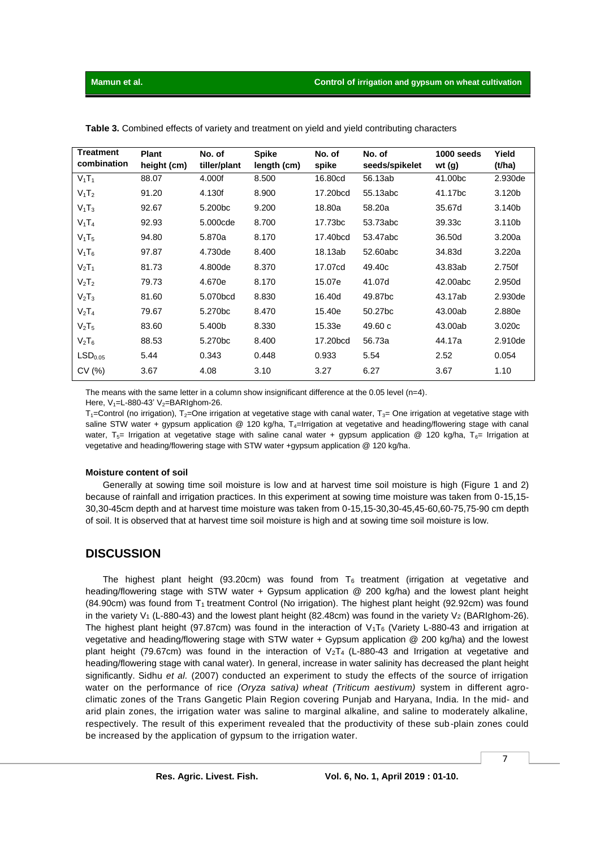| <b>Treatment</b><br>combination | <b>Plant</b><br>height (cm) | No. of<br>tiller/plant | <b>Spike</b><br>length (cm) | No. of<br>spike | No. of<br>seeds/spikelet | 1000 seeds<br>wt $(g)$ | Yield<br>(t/ha) |
|---------------------------------|-----------------------------|------------------------|-----------------------------|-----------------|--------------------------|------------------------|-----------------|
| $V_1T_1$                        | 88.07                       | 4.000f                 | 8.500                       | 16.80cd         | 56.13ab                  | 41.00bc                | 2.930de         |
| $V_1$ T <sub>2</sub>            | 91.20                       | 4.130f                 | 8.900                       | 17.20bcd        | 55.13abc                 | 41.17bc                | 3.120b          |
| $V_1$ T <sub>3</sub>            | 92.67                       | 5.200bc                | 9.200                       | 18.80a          | 58.20a                   | 35.67d                 | 3.140b          |
| $V_1$ T <sub>4</sub>            | 92.93                       | 5.000cde               | 8.700                       | 17.73bc         | 53.73abc                 | 39.33c                 | 3.110b          |
| $V_1$ T <sub>5</sub>            | 94.80                       | 5.870a                 | 8.170                       | 17.40bcd        | 53.47abc                 | 36.50d                 | 3.200a          |
| $V_1$ T <sub>6</sub>            | 97.87                       | 4.730de                | 8.400                       | 18.13ab         | 52.60abc                 | 34.83d                 | 3.220a          |
| $V_2T_1$                        | 81.73                       | 4.800de                | 8.370                       | 17.07cd         | 49.40c                   | 43.83ab                | 2.750f          |
| V <sub>2</sub> T <sub>2</sub>   | 79.73                       | 4.670e                 | 8.170                       | 15.07e          | 41.07d                   | 42.00abc               | 2.950d          |
| V <sub>2</sub> T <sub>3</sub>   | 81.60                       | 5.070bcd               | 8.830                       | 16.40d          | 49.87 <sub>bc</sub>      | 43.17ab                | 2.930de         |
| $V_2T_4$                        | 79.67                       | 5.270bc                | 8.470                       | 15.40e          | 50.27bc                  | 43.00ab                | 2.880e          |
| V <sub>2</sub> T <sub>5</sub>   | 83.60                       | 5.400b                 | 8.330                       | 15.33e          | 49.60c                   | 43.00ab                | 3.020c          |
| $V_2T_6$                        | 88.53                       | 5.270bc                | 8.400                       | 17.20bcd        | 56.73a                   | 44.17a                 | 2.910de         |
| LSD <sub>0.05</sub>             | 5.44                        | 0.343                  | 0.448                       | 0.933           | 5.54                     | 2.52                   | 0.054           |
| CV(%)                           | 3.67                        | 4.08                   | 3.10                        | 3.27            | 6.27                     | 3.67                   | 1.10            |

**Table 3.** Combined effects of variety and treatment on yield and yield contributing characters

The means with the same letter in a column show insignificant difference at the 0.05 level (n=4). Here,  $V_1$ =L-880-43'  $V_2$ =BARIghom-26.

 $T_1$ =Control (no irrigation), T<sub>2</sub>=One irrigation at vegetative stage with canal water, T<sub>3</sub>= One irrigation at vegetative stage with saline STW water + gypsum application @ 120 kg/ha,  $T_4$ =Irrigation at vegetative and heading/flowering stage with canal water, T<sub>5</sub>= Irrigation at vegetative stage with saline canal water + gypsum application @ 120 kg/ha, T<sub>6</sub>= Irrigation at vegetative and heading/flowering stage with STW water +gypsum application @ 120 kg/ha.

#### **Moisture content of soil**

Generally at sowing time soil moisture is low and at harvest time soil moisture is high (Figure 1 and 2) because of rainfall and irrigation practices. In this experiment at sowing time moisture was taken from 0-15,15- 30,30-45cm depth and at harvest time moisture was taken from 0-15,15-30,30-45,45-60,60-75,75-90 cm depth of soil. It is observed that at harvest time soil moisture is high and at sowing time soil moisture is low.

## **DISCUSSION**

The highest plant height (93.20cm) was found from  $T_6$  treatment (irrigation at vegetative and heading/flowering stage with STW water + Gypsum application @ 200 kg/ha) and the lowest plant height (84.90cm) was found from T1 treatment Control (No irrigation). The highest plant height (92.92cm) was found in the variety V<sub>1</sub> (L-880-43) and the lowest plant height (82.48cm) was found in the variety V<sub>2</sub> (BARIghom-26). The highest plant height (97.87cm) was found in the interaction of  $V_1T_6$  (Variety L-880-43 and irrigation at vegetative and heading/flowering stage with STW water + Gypsum application @ 200 kg/ha) and the lowest plant height (79.67cm) was found in the interaction of  $V_2T_4$  (L-880-43 and Irrigation at vegetative and heading/flowering stage with canal water). In general, increase in water salinity has decreased the plant height significantly. Sidhu *et al.* (2007) conducted an experiment to study the effects of the source of irrigation water on the performance of rice *(Oryza sativa) wheat (Triticum aestivum)* system in different agroclimatic zones of the Trans Gangetic Plain Region covering Punjab and Haryana, India. In the mid- and arid plain zones, the irrigation water was saline to marginal alkaline, and saline to moderately alkaline, respectively. The result of this experiment revealed that the productivity of these sub-plain zones could be increased by the application of gypsum to the irrigation water.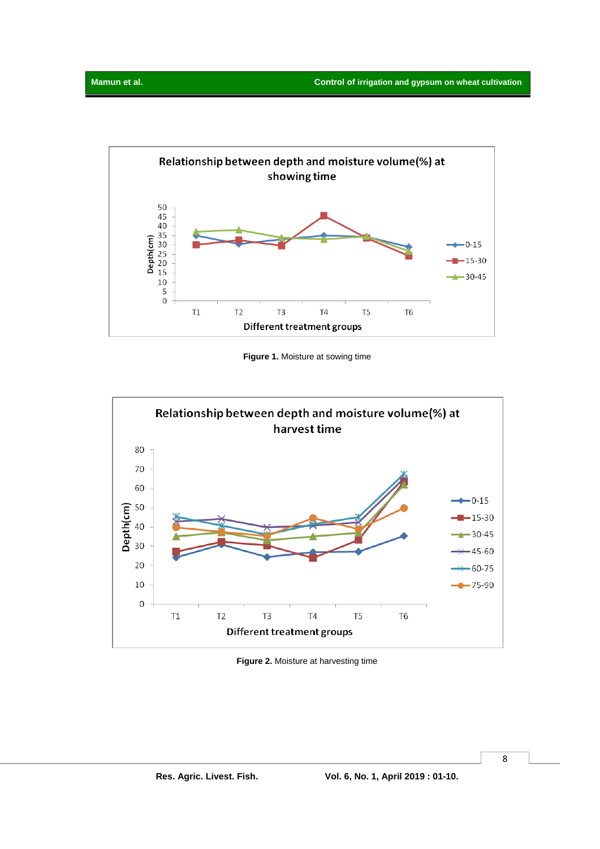

**Figure 1.** Moisture at sowing time



**Figure 2.** Moisture at harvesting time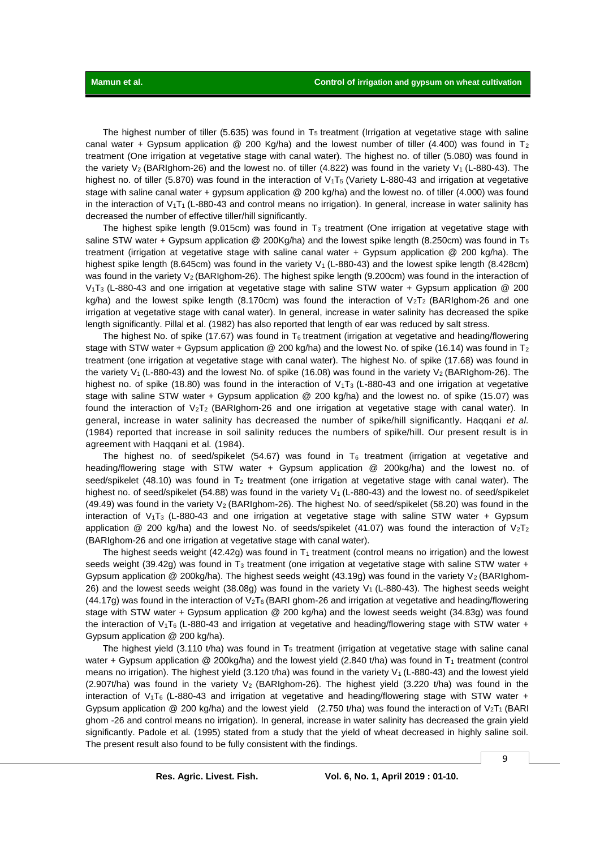The highest number of tiller (5.635) was found in  $T_5$  treatment (Irrigation at vegetative stage with saline canal water + Gypsum application @ 200 Kg/ha) and the lowest number of tiller (4.400) was found in T<sub>2</sub> treatment (One irrigation at vegetative stage with canal water). The highest no. of tiller (5.080) was found in the variety V<sub>2</sub> (BARIghom-26) and the lowest no. of tiller (4.822) was found in the variety V<sub>1</sub> (L-880-43). The highest no. of tiller (5.870) was found in the interaction of V<sub>1</sub>T<sub>5</sub> (Variety L-880-43 and irrigation at vegetative stage with saline canal water + gypsum application @ 200 kg/ha) and the lowest no. of tiller (4.000) was found in the interaction of  $V_1T_1$  (L-880-43 and control means no irrigation). In general, increase in water salinity has decreased the number of effective tiller/hill significantly.

The highest spike length (9.015cm) was found in  $T_3$  treatment (One irrigation at vegetative stage with saline STW water + Gypsum application @ 200Kg/ha) and the lowest spike length (8.250cm) was found in T<sub>5</sub> treatment (irrigation at vegetative stage with saline canal water + Gypsum application @ 200 kg/ha). The highest spike length (8.645cm) was found in the variety  $V_1$  (L-880-43) and the lowest spike length (8.428cm) was found in the variety V<sub>2</sub> (BARIghom-26). The highest spike length (9.200cm) was found in the interaction of V1T3 (L-880-43 and one irrigation at vegetative stage with saline STW water + Gypsum application @ 200 kg/ha) and the lowest spike length (8.170cm) was found the interaction of  $V_2T_2$  (BARIghom-26 and one irrigation at vegetative stage with canal water). In general, increase in water salinity has decreased the spike length significantly. Pillal et al. (1982) has also reported that length of ear was reduced by salt stress.

The highest No. of spike (17.67) was found in  $T_6$  treatment (irrigation at vegetative and heading/flowering stage with STW water + Gypsum application @ 200 kg/ha) and the lowest No. of spike (16.14) was found in T<sub>2</sub> treatment (one irrigation at vegetative stage with canal water). The highest No. of spike (17.68) was found in the variety V<sub>1</sub> (L-880-43) and the lowest No. of spike (16.08) was found in the variety V<sub>2</sub> (BARIghom-26). The highest no. of spike (18.80) was found in the interaction of  $V_1T_3$  (L-880-43 and one irrigation at vegetative stage with saline STW water + Gypsum application @ 200 kg/ha) and the lowest no. of spike (15.07) was found the interaction of  $V_2T_2$  (BARIghom-26 and one irrigation at vegetative stage with canal water). In general, increase in water salinity has decreased the number of spike/hill significantly. Haqqani *et al.* (1984) reported that increase in soil salinity reduces the numbers of spike/hill. Our present result is in agreement with Haqqani et al*.* (1984).

The highest no. of seed/spikelet (54.67) was found in  $T_6$  treatment (irrigation at vegetative and heading/flowering stage with STW water + Gypsum application @ 200kg/ha) and the lowest no. of seed/spikelet (48.10) was found in T<sub>2</sub> treatment (one irrigation at vegetative stage with canal water). The highest no. of seed/spikelet (54.88) was found in the variety V<sub>1</sub> (L-880-43) and the lowest no. of seed/spikelet (49.49) was found in the variety  $V_2$  (BARIghom-26). The highest No. of seed/spikelet (58.20) was found in the interaction of  $V_1T_3$  (L-880-43 and one irrigation at vegetative stage with saline STW water + Gypsum application  $@ 200$  kg/ha) and the lowest No. of seeds/spikelet (41.07) was found the interaction of  $V_2T_2$ (BARIghom-26 and one irrigation at vegetative stage with canal water).

The highest seeds weight (42.42g) was found in  $T_1$  treatment (control means no irrigation) and the lowest seeds weight (39.42g) was found in  $T_3$  treatment (one irrigation at vegetative stage with saline STW water + Gypsum application @ 200kg/ha). The highest seeds weight (43.19g) was found in the variety  $V_2$  (BARIghom-26) and the lowest seeds weight (38.08g) was found in the variety  $V_1$  (L-880-43). The highest seeds weight (44.17g) was found in the interaction of  $V_2T_6$  (BARI ghom-26 and irrigation at vegetative and heading/flowering stage with STW water + Gypsum application @ 200 kg/ha) and the lowest seeds weight (34.83g) was found the interaction of  $V_1T_6$  (L-880-43 and irrigation at vegetative and heading/flowering stage with STW water + Gypsum application @ 200 kg/ha).

The highest yield (3.110 t/ha) was found in  $T<sub>5</sub>$  treatment (irrigation at vegetative stage with saline canal water + Gypsum application @ 200kg/ha) and the lowest yield (2.840 t/ha) was found in  $T_1$  treatment (control means no irrigation). The highest yield  $(3.120 \text{ t/ha})$  was found in the variety  $V_1$  (L-880-43) and the lowest yield  $(2.907t/ha)$  was found in the variety  $V_2$  (BARIghom-26). The highest yield  $(3.220 t/ha)$  was found in the interaction of  $V_1$ T<sub>6</sub> (L-880-43 and irrigation at vegetative and heading/flowering stage with STW water + Gypsum application @ 200 kg/ha) and the lowest yield (2.750 t/ha) was found the interaction of V<sub>2</sub>T<sub>1</sub> (BARI ghom -26 and control means no irrigation). In general, increase in water salinity has decreased the grain yield significantly. Padole et al*.* (1995) stated from a study that the yield of wheat decreased in highly saline soil. The present result also found to be fully consistent with the findings.